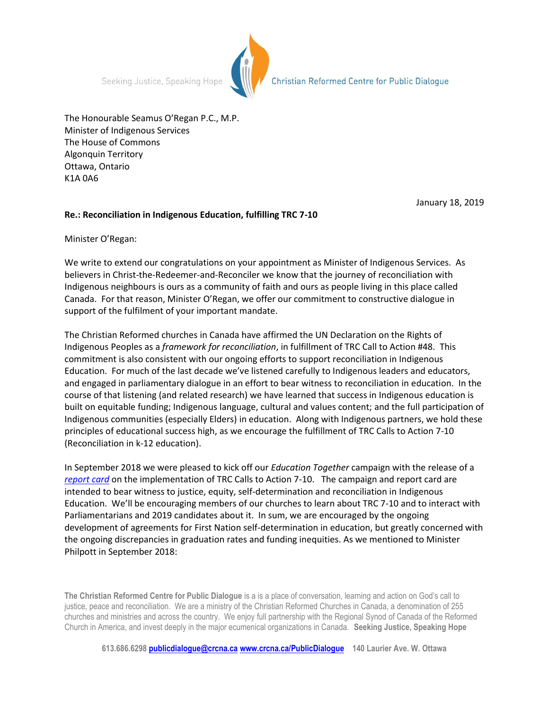Seeking Justice, Speaking Hope



Christian Reformed Centre for Public Dialogue

The Honourable Seamus O'Regan P.C., M.P. Minister of Indigenous Services The House of Commons Algonquin Territory Ottawa, Ontario K1A 0A6

January 18, 2019

## **Re.: Reconciliation in Indigenous Education, fulfilling TRC 7-10**

Minister O'Regan:

We write to extend our congratulations on your appointment as Minister of Indigenous Services. As believers in Christ-the-Redeemer-and-Reconciler we know that the journey of reconciliation with Indigenous neighbours is ours as a community of faith and ours as people living in this place called Canada. For that reason, Minister O'Regan, we offer our commitment to constructive dialogue in support of the fulfilment of your important mandate.

The Christian Reformed churches in Canada have affirmed the UN Declaration on the Rights of Indigenous Peoples as a *framework for reconciliation*, in fulfillment of TRC Call to Action #48. This commitment is also consistent with our ongoing efforts to support reconciliation in Indigenous Education. For much of the last decade we've listened carefully to Indigenous leaders and educators, and engaged in parliamentary dialogue in an effort to bear witness to reconciliation in education. In the course of that listening (and related research) we have learned that success in Indigenous education is built on equitable funding; Indigenous language, cultural and values content; and the full participation of Indigenous communities (especially Elders) in education. Along with Indigenous partners, we hold these principles of educational success high, as we encourage the fulfillment of TRC Calls to Action 7-10 (Reconciliation in k-12 education).

In September 2018 we were pleased to kick off our *Education Together* campaign with the release of a *[report card](https://www.crcna.org/sites/default/files/education_together_report_card-_2018.pdf)* on the implementation of TRC Calls to Action 7-10. The campaign and report card are intended to bear witness to justice, equity, self-determination and reconciliation in Indigenous Education. We'll be encouraging members of our churches to learn about TRC 7-10 and to interact with Parliamentarians and 2019 candidates about it. In sum, we are encouraged by the ongoing development of agreements for First Nation self-determination in education, but greatly concerned with the ongoing discrepancies in graduation rates and funding inequities. As we mentioned to Minister Philpott in September 2018:

**The Christian Reformed Centre for Public Dialogue** is a is a place of conversation, learning and action on God's call to justice, peace and reconciliation. We are a ministry of the Christian Reformed Churches in Canada, a denomination of 255 churches and ministries and across the country. We enjoy full partnership with the Regional Synod of Canada of the Reformed Church in America, and invest deeply in the major ecumenical organizations in Canada. **Seeking Justice, Speaking Hope**